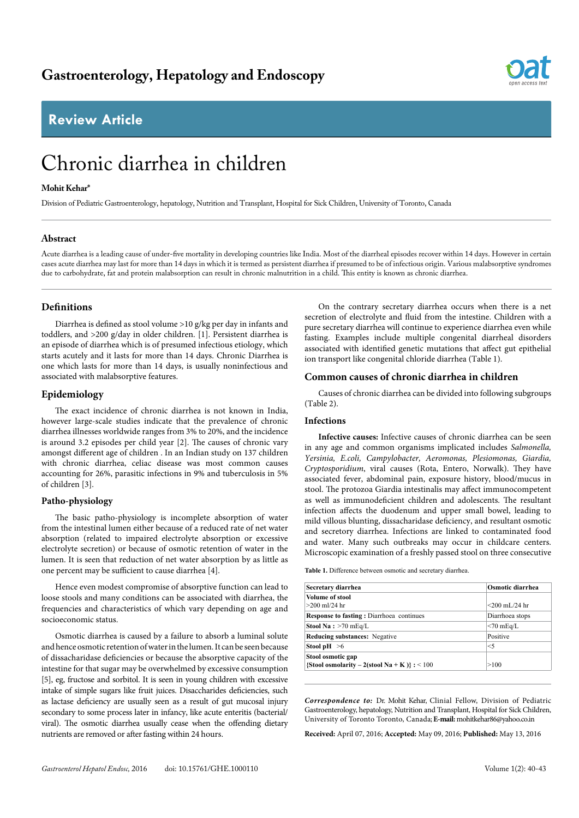# **Review Article**

# Chronic diarrhea in children

# **Mohit Kehar\***

Division of Pediatric Gastroenterology, hepatology, Nutrition and Transplant, Hospital for Sick Children, University of Toronto, Canada

# **Abstract**

Acute diarrhea is a leading cause of under-five mortality in developing countries like India. Most of the diarrheal episodes recover within 14 days. However in certain cases acute diarrhea may last for more than 14 days in which it is termed as persistent diarrhea if presumed to be of infectious origin. Various malabsorptive syndromes due to carbohydrate, fat and protein malabsorption can result in chronic malnutrition in a child. This entity is known as chronic diarrhea.

# **Definitions**

Diarrhea is defined as stool volume >10 g/kg per day in infants and toddlers, and >200 g/day in older children. [1]. Persistent diarrhea is an episode of diarrhea which is of presumed infectious etiology, which starts acutely and it lasts for more than 14 days. Chronic Diarrhea is one which lasts for more than 14 days, is usually noninfectious and associated with malabsorptive features.

# **Epidemiology**

The exact incidence of chronic diarrhea is not known in India, however large-scale studies indicate that the prevalence of chronic diarrhea illnesses worldwide ranges from 3% to 20%, and the incidence is around 3.2 episodes per child year [2]. The causes of chronic vary amongst different age of children . In an Indian study on 137 children with chronic diarrhea, celiac disease was most common causes accounting for 26%, parasitic infections in 9% and tuberculosis in 5% of children [3].

# **Patho-physiology**

The basic patho-physiology is incomplete absorption of water from the intestinal lumen either because of a reduced rate of net water absorption (related to impaired electrolyte absorption or excessive electrolyte secretion) or because of osmotic retention of water in the lumen. It is seen that reduction of net water absorption by as little as one percent may be sufficient to cause diarrhea [4].

Hence even modest compromise of absorptive function can lead to loose stools and many conditions can be associated with diarrhea, the frequencies and characteristics of which vary depending on age and socioeconomic status.

Osmotic diarrhea is caused by a failure to absorb a luminal solute and hence osmotic retention of water in the lumen. It can be seen because of dissacharidase deficiencies or because the absorptive capacity of the intestine for that sugar may be overwhelmed by excessive consumption [5], eg, fructose and sorbitol. It is seen in young children with excessive intake of simple sugars like fruit juices. Disaccharides deficiencies, such as lactase deficiency are usually seen as a result of gut mucosal injury secondary to some process later in infancy, like acute enteritis (bacterial/ viral). The osmotic diarrhea usually cease when the offending dietary nutrients are removed or after fasting within 24 hours.

On the contrary secretary diarrhea occurs when there is a net secretion of electrolyte and fluid from the intestine. Children with a pure secretary diarrhea will continue to experience diarrhea even while fasting. Examples include multiple congenital diarrheal disorders associated with identified genetic mutations that affect gut epithelial ion transport like congenital chloride diarrhea (Table 1).

# **Common causes of chronic diarrhea in children**

Causes of chronic diarrhea can be divided into following subgroups (Table 2).

### **Infections**

**Infective causes:** Infective causes of chronic diarrhea can be seen in any age and common organisms implicated includes *Salmonella, Yersinia, E.coli, Campylobacter, Aeromonas, Plesiomonas, Giardia, Cryptosporidium*, viral causes (Rota, Entero, Norwalk). They have associated fever, abdominal pain, exposure history, blood/mucus in stool. The protozoa Giardia intestinalis may affect immunocompetent as well as immunodeficient children and adolescents. The resultant infection affects the duodenum and upper small bowel, leading to mild villous blunting, dissacharidase deficiency, and resultant osmotic and secretory diarrhea. Infections are linked to contaminated food and water. Many such outbreaks may occur in childcare centers. Microscopic examination of a freshly passed stool on three consecutive

**Table 1.** Difference between osmotic and secretary diarrhea.

| Secretary diarrhea                                                | Osmotic diarrhea |
|-------------------------------------------------------------------|------------------|
| Volume of stool<br>$>200$ ml/24 hr                                | $<$ 200 mL/24 hr |
| <b>Response to fasting:</b> Diarrhoea continues                   | Diarrhoea stops  |
| Stool Na: $>70$ mEq/L                                             | $<$ 70 mEq/L     |
| <b>Reducing substances:</b> Negative                              | Positive         |
| Stool pH $\geq 6$                                                 | $\leq$ 5         |
| Stool osmotic gap<br>{Stool osmolarity – 2(stool Na + K)} : < 100 | >100             |

*Correspondence to:* Dr. Mohit Kehar, Clinial Fellow, Division of Pediatric Gastroenterology, hepatology, Nutrition and Transplant, Hospital for Sick Children, University of Toronto Toronto, Canada; **E-mail:** mohitkehar86@yahoo.co.in

**Received:** April 07, 2016; **Accepted:** May 09, 2016; **Published:** May 13, 2016

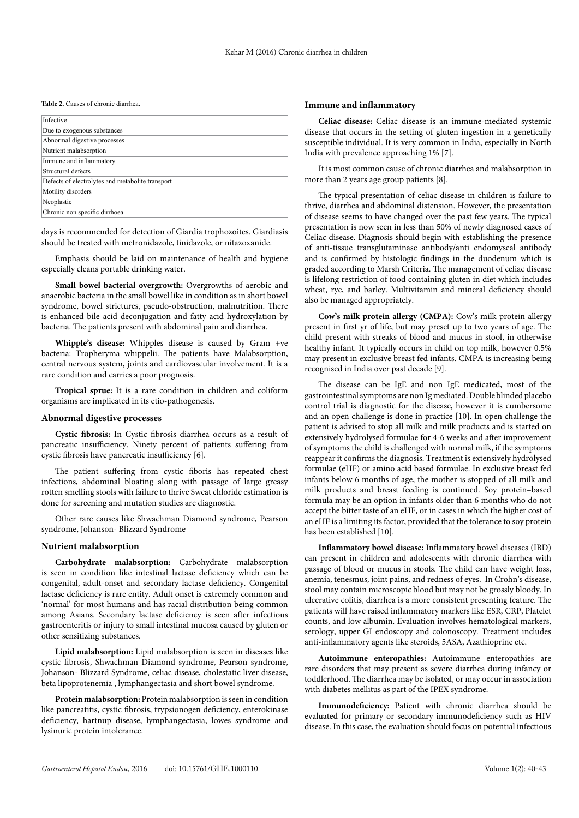#### **Table 2.** Causes of chronic diarrhea.

| Infective                                        |
|--------------------------------------------------|
| Due to exogenous substances                      |
| Abnormal digestive processes                     |
| Nutrient malabsorption                           |
| Immune and inflammatory                          |
| Structural defects                               |
| Defects of electrolytes and metabolite transport |
| Motility disorders                               |
| Neoplastic                                       |
| Chronic non specific dirrhoea                    |

days is recommended for detection of Giardia trophozoites. Giardiasis should be treated with metronidazole, tinidazole, or nitazoxanide.

Emphasis should be laid on maintenance of health and hygiene especially cleans portable drinking water.

Small bowel bacterial overgrowth: Overgrowths of aerobic and anaerobic bacteria in the small bowel like in condition as in short bowel syndrome, bowel strictures, pseudo-obstruction, malnutrition. There is enhanced bile acid deconjugation and fatty acid hydroxylation by bacteria. The patients present with abdominal pain and diarrhea.

**Whipple's disease:** Whipples disease is caused by Gram +ve bacteria: Tropheryma whippelii. The patients have Malabsorption, central nervous system, joints and cardiovascular involvement. It is a rare condition and carries a poor prognosis.

**Tropical sprue:** It is a rare condition in children and coliform organisms are implicated in its etio-pathogenesis.

#### **Abnormal digestive processes**

**Cystic fibrosis:** In Cystic fibrosis diarrhea occurs as a result of pancreatic insufficiency. Ninety percent of patients suffering from cystic fibrosis have pancreatic insufficiency [6].

The patient suffering from cystic fiboris has repeated chest infections, abdominal bloating along with passage of large greasy rotten smelling stools with failure to thrive Sweat chloride estimation is done for screening and mutation studies are diagnostic.

Other rare causes like Shwachman Diamond syndrome, Pearson syndrome, Johanson- Blizzard Syndrome

#### **Nutrient malabsorption**

**Carbohydrate malabsorption:** Carbohydrate malabsorption is seen in condition like intestinal lactase deficiency which can be congenital, adult-onset and secondary lactase deficiency. Congenital lactase deficiency is rare entity. Adult onset is extremely common and 'normal' for most humans and has racial distribution being common among Asians. Secondary lactase deficiency is seen after infectious gastroenteritis or injury to small intestinal mucosa caused by gluten or other sensitizing substances.

**Lipid malabsorption:** Lipid malabsorption is seen in diseases like cystic fibrosis, Shwachman Diamond syndrome, Pearson syndrome, Johanson- Blizzard Syndrome, celiac disease, cholestatic liver disease, beta lipoprotenemia , lymphangectasia and short bowel syndrome.

**Protein malabsorption:** Protein malabsorption is seen in condition like pancreatitis, cystic fibrosis, trypsionogen deficiency, enterokinase deficiency, hartnup disease, lymphangectasia, lowes syndrome and lysinuric protein intolerance.

#### **Immune and inflammatory**

**Celiac disease:** Celiac disease is an immune-mediated systemic disease that occurs in the setting of gluten ingestion in a genetically susceptible individual. It is very common in India, especially in North India with prevalence approaching 1% [7].

It is most common cause of chronic diarrhea and malabsorption in more than 2 years age group patients [8].

The typical presentation of celiac disease in children is failure to thrive, diarrhea and abdominal distension. However, the presentation of disease seems to have changed over the past few years. The typical presentation is now seen in less than 50% of newly diagnosed cases of Celiac disease. Diagnosis should begin with establishing the presence of anti-tissue transglutaminase antibody/anti endomyseal antibody and is confirmed by histologic findings in the duodenum which is graded according to Marsh Criteria. The management of celiac disease is lifelong restriction of food containing gluten in diet which includes wheat, rye, and barley. Multivitamin and mineral deficiency should also be managed appropriately.

**Cow's milk protein allergy (CMPA):** Cow's milk protein allergy present in first yr of life, but may preset up to two years of age. The child present with streaks of blood and mucus in stool, in otherwise healthy infant. It typically occurs in child on top milk, however 0.5% may present in exclusive breast fed infants. CMPA is increasing being recognised in India over past decade [9].

The disease can be IgE and non IgE medicated, most of the gastrointestinal symptoms are non Ig mediated. Double blinded placebo control trial is diagnostic for the disease, however it is cumbersome and an open challenge is done in practice [10]. In open challenge the patient is advised to stop all milk and milk products and is started on extensively hydrolysed formulae for 4-6 weeks and after improvement of symptoms the child is challenged with normal milk, if the symptoms reappear it confirms the diagnosis. Treatment is extensively hydrolysed formulae (eHF) or amino acid based formulae. In exclusive breast fed infants below 6 months of age, the mother is stopped of all milk and milk products and breast feeding is continued. Soy protein–based formula may be an option in infants older than 6 months who do not accept the bitter taste of an eHF, or in cases in which the higher cost of an eHF is a limiting its factor, provided that the tolerance to soy protein has been established [10].

**Inflammatory bowel disease:** Inflammatory bowel diseases (IBD) can present in children and adolescents with chronic diarrhea with passage of blood or mucus in stools. The child can have weight loss, anemia, tenesmus, joint pains, and redness of eyes. In Crohn's disease, stool may contain microscopic blood but may not be grossly bloody. In ulcerative colitis, diarrhea is a more consistent presenting feature. The patients will have raised inflammatory markers like ESR, CRP, Platelet counts, and low albumin. Evaluation involves hematological markers, serology, upper GI endoscopy and colonoscopy. Treatment includes anti-inflammatory agents like steroids, 5ASA, Azathioprine etc.

**Autoimmune enteropathies:** Autoimmune enteropathies are rare disorders that may present as severe diarrhea during infancy or toddlerhood. The diarrhea may be isolated, or may occur in association with diabetes mellitus as part of the IPEX syndrome.

**Immunodeficiency:** Patient with chronic diarrhea should be evaluated for primary or secondary immunodeficiency such as HIV disease. In this case, the evaluation should focus on potential infectious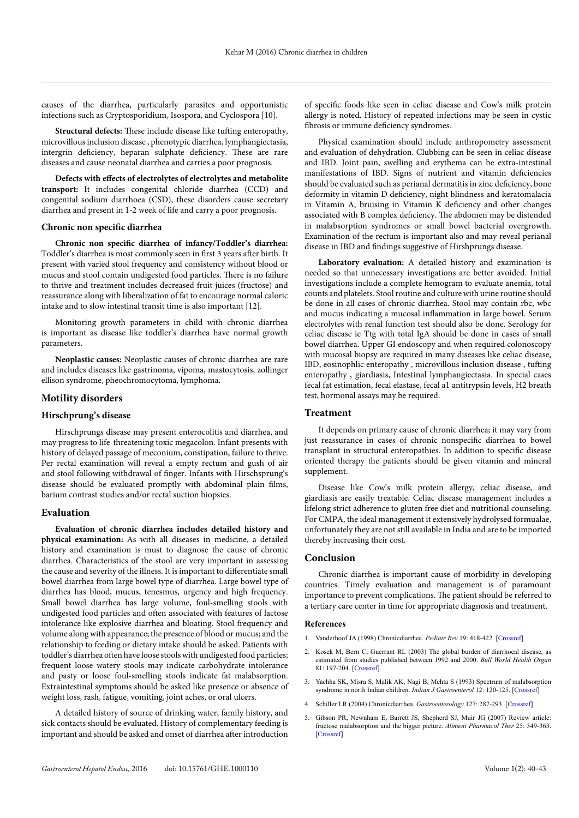causes of the diarrhea, particularly parasites and opportunistic infections such as Cryptosporidium, Isospora, and Cyclospora [10].

**Structural defects:** These include disease like tufting enteropathy, microvillous inclusion disease , phenotypic diarrhea, lymphangiectasia, intergrin deficiency, heparan sulphate deficiency. These are rare diseases and cause neonatal diarrhea and carries a poor prognosis.

**Defects with effects of electrolytes of electrolytes and metabolite transport:** It includes congenital chloride diarrhea (CCD) and congenital sodium diarrhoea (CSD), these disorders cause secretary diarrhea and present in 1-2 week of life and carry a poor prognosis.

#### **Chronic non specific diarrhea**

**Chronic non specific diarrhea of infancy/Toddler's diarrhea:**  Toddler's diarrhea is most commonly seen in first 3 years after birth. It present with varied stool frequency and consistency without blood or mucus and stool contain undigested food particles. There is no failure to thrive and treatment includes decreased fruit juices (fructose) and reassurance along with liberalization of fat to encourage normal caloric intake and to slow intestinal transit time is also important [12].

Monitoring growth parameters in child with chronic diarrhea is important as disease like toddler's diarrhea have normal growth parameters.

**Neoplastic causes:** Neoplastic causes of chronic diarrhea are rare and includes diseases like gastrinoma, vipoma, mastocytosis, zollinger ellison syndrome, pheochromocytoma, lymphoma.

# **Motility disorders**

#### **Hirschprung's disease**

Hirschprungs disease may present enterocolitis and diarrhea, and may progress to life-threatening toxic megacolon. Infant presents with history of delayed passage of meconium, constipation, failure to thrive. Per rectal examination will reveal a empty rectum and gush of air and stool following withdrawal of finger. Infants with Hirschsprung's disease should be evaluated promptly with abdominal plain films, [barium](http://www.uptodate.com/contents/barium-drug-information?source=see_link) contrast studies and/or rectal suction biopsies.

#### **Evaluation**

**Evaluation of chronic diarrhea includes detailed history and physical examination:** As with all diseases in medicine, a detailed history and examination is must to diagnose the cause of chronic diarrhea. Characteristics of the stool are very important in assessing the cause and severity of the illness. It is important to differentiate small bowel diarrhea from large bowel type of diarrhea. Large bowel type of diarrhea has blood, mucus, tenesmus, urgency and high frequency. Small bowel diarrhea has large volume, foul-smelling stools with undigested food particles and often associated with features of lactose intolerance like explosive diarrhea and bloating. Stool frequency and volume along with appearance; the presence of blood or mucus; and the relationship to feeding or dietary intake should be asked. Patients with toddler's diarrhea often have loose stools with undigested food particles; frequent loose watery stools may indicate carbohydrate intolerance and pasty or loose foul-smelling stools indicate fat malabsorption. Extraintestinal symptoms should be asked like presence or absence of weight loss, rash, fatigue, vomiting, joint aches, or oral ulcers.

A detailed history of source of drinking water, family history, and sick contacts should be evaluated. History of complementary feeding is important and should be asked and onset of diarrhea after introduction of specific foods like seen in celiac disease and Cow's milk protein allergy is noted. History of repeated infections may be seen in cystic fibrosis or immune deficiency syndromes.

Physical examination should include anthropometry assessment and evaluation of dehydration. Clubbing can be seen in celiac disease and IBD. Joint pain, swelling and erythema can be extra-intestinal manifestations of IBD. Signs of nutrient and vitamin deficiencies should be evaluated such as perianal dermatitis in zinc deficiency, bone deformity in vitamin D deficiency, night blindness and keratomalacia in Vitamin A, bruising in Vitamin K deficiency and other changes associated with B complex deficiency. The abdomen may be distended in malabsorption syndromes or small bowel bacterial overgrowth. Examination of the rectum is important also and may reveal perianal disease in IBD and findings suggestive of Hirshprungs disease.

**Laboratory evaluation:** A detailed history and examination is needed so that unnecessary investigations are better avoided. Initial investigations include a complete hemogram to evaluate anemia, total counts and platelets. Stool routine and culture with urine routine should be done in all cases of chronic diarrhea. Stool may contain rbc, wbc and mucus indicating a mucosal inflammation in large bowel. Serum electrolytes with renal function test should also be done. Serology for celiac disease ie Ttg with total IgA should be done in cases of small bowel diarrhea. Upper GI endoscopy and when required colonoscopy with mucosal biopsy are required in many diseases like celiac disease, IBD, eosinophlic enteropathy , microvillous inclusion disease , tufting enteropathy , giardiasis, Intestinal lymphangiectasia. In special cases fecal fat estimation, fecal elastase, fecal a1 antitrypsin levels, H2 breath test, hormonal assays may be required.

#### **Treatment**

It depends on primary cause of chronic diarrhea; it may vary from just reassurance in cases of chronic nonspecific diarrhea to bowel transplant in structural enteropathies. In addition to specific disease oriented therapy the patients should be given vitamin and mineral supplement.

Disease like Cow's milk protein allergy, celiac disease, and giardiasis are easily treatable. Celiac disease management includes a lifelong strict adherence to gluten free diet and nutritional counseling. For CMPA, the ideal management it extensively hydrolysed formualae, unfortunately they are not still available in India and are to be imported thereby increasing their cost.

#### **Conclusion**

Chronic diarrhea is important cause of morbidity in developing countries. Timely evaluation and management is of paramount importance to prevent complications. The patient should be referred to a tertiary care center in time for appropriate diagnosis and treatment.

#### **References**

- 1. Vanderhoof JA (1998) Chronicdiarrhea. *Pediatr Rev* 19: 418-422. [\[Crossref](http://www.ncbi.nlm.nih.gov/pubmed/9849071)]
- 2. Kosek M, Bern C, Guerrant RL (2003) The global burden of diarrhoeal disease, as estimated from studies published between 1992 and 2000. *Bull World Health Organ*  81: 197-204. [\[Crossref](http://www.ncbi.nlm.nih.gov/pubmed/12764516)]
- 3. Yachha SK, Misra S, Malik AK, Nagi B, Mehta S (1993) Spectrum of malabsorption syndrome in north Indian children. *Indian J Gastroenterol* 12: 120-125. [[Crossref\]](http://www.ncbi.nlm.nih.gov/pubmed/8270289)
- 4. Schiller LR (2004) Chronicdiarrhea. *Gastroenterology* 127: 287-293. [\[Crossref\]](http://www.ncbi.nlm.nih.gov/pubmed/15236193)
- 5. Gibson PR, Newnham E, Barrett JS, Shepherd SJ, Muir JG (2007) Review article: fructose malabsorption and the bigger picture. *Aliment Pharmacol Ther* 25: 349-363. [[Crossref\]](http://www.ncbi.nlm.nih.gov/pubmed/17217453)